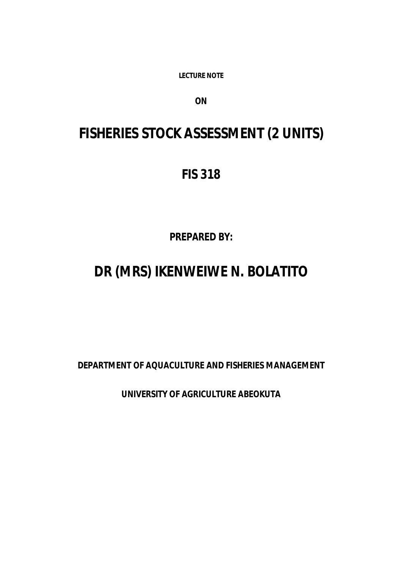**LECTURE NOTE** 

*ON*

# **FISHERIES STOCK ASSESSMENT (2 UNITS)**

## **FIS 318**

*PREPARED BY:*

# **DR (MRS) IKENWEIWE N. BOLATITO**

**DEPARTMENT OF AQUACULTURE AND FISHERIES MANAGEMENT**

**UNIVERSITY OF AGRICULTURE ABEOKUTA**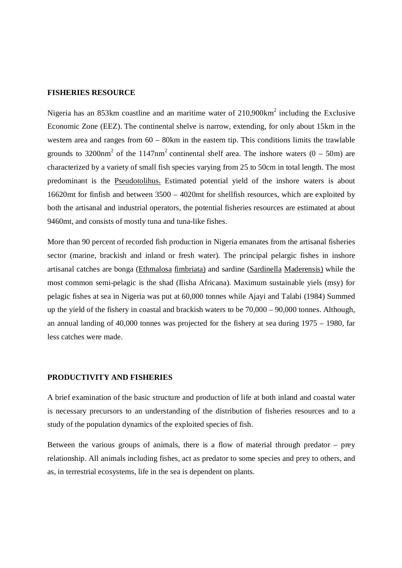#### **FISHERIES RESOURCE**

Nigeria has an 853km coastline and an maritime water of  $210,900 \text{km}^2$  including the Exclusive Economic Zone (EEZ). The continental shelve is narrow, extending, for only about 15km in the western area and ranges from 60 – 80km in the eastern tip. This conditions limits the trawlable grounds to 3200nm<sup>2</sup> of the 1147nm<sup>2</sup> continental shelf area. The inshore waters  $(0 - 50m)$  are characterized by a variety of small fish species varying from 25 to 50cm in total length. The most predominant is the Pseudotolihus. Estimated potential yield of the inshore waters is about 16620mt for finfish and between 3500 – 4020mt for shellfish resources, which are exploited by both the artisanal and industrial operators, the potential fisheries resources are estimated at about 9460mt, and consists of mostly tuna and tuna-like fishes.

More than 90 percent of recorded fish production in Nigeria emanates from the artisanal fisheries sector (marine, brackish and inland or fresh water). The principal pelargic fishes in inshore artisanal catches are bonga (Ethmalosa fimbriata) and sardine (Sardinella Maderensis) while the most common semi-pelagic is the shad (Ilisha Africana). Maximum sustainable yiels (msy) for pelagic fishes at sea in Nigeria was put at 60,000 tonnes while Ajayi and Talabi (1984) Summed up the yield of the fishery in coastal and brackish waters to be 70,000 – 90,000 tonnes. Although, an annual landing of 40,000 tonnes was projected for the fishery at sea during 1975 – 1980, far less catches were made.

## **PRODUCTIVITY AND FISHERIES**

A brief examination of the basic structure and production of life at both inland and coastal water is necessary precursors to an understanding of the distribution of fisheries resources and to a study of the population dynamics of the exploited species of fish.

Between the various groups of animals, there is a flow of material through predator – prey relationship. All animals including fishes, act as predator to some species and prey to others, and as, in terrestrial ecosystems, life in the sea is dependent on plants.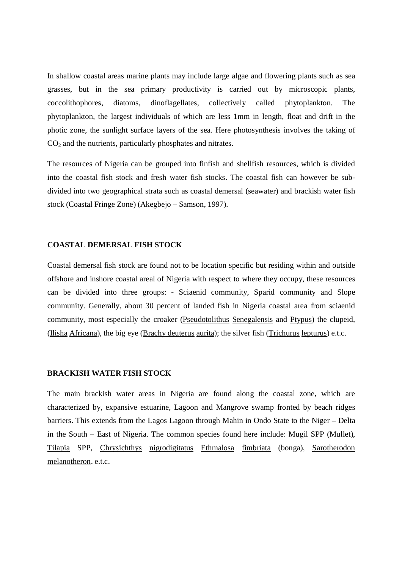In shallow coastal areas marine plants may include large algae and flowering plants such as sea grasses, but in the sea primary productivity is carried out by microscopic plants, coccolithophores, diatoms, dinoflagellates, collectively called phytoplankton. The phytoplankton, the largest individuals of which are less 1mm in length, float and drift in the photic zone, the sunlight surface layers of the sea. Here photosynthesis involves the taking of  $CO<sub>2</sub>$  and the nutrients, particularly phosphates and nitrates.

The resources of Nigeria can be grouped into finfish and shellfish resources, which is divided into the coastal fish stock and fresh water fish stocks. The coastal fish can however be subdivided into two geographical strata such as coastal demersal (seawater) and brackish water fish stock (Coastal Fringe Zone) (Akegbejo – Samson, 1997).

#### **COASTAL DEMERSAL FISH STOCK**

Coastal demersal fish stock are found not to be location specific but residing within and outside offshore and inshore coastal areal of Nigeria with respect to where they occupy, these resources can be divided into three groups: - Sciaenid community, Sparid community and Slope community. Generally, about 30 percent of landed fish in Nigeria coastal area from sciaenid community, most especially the croaker (Pseudotolithus Senegalensis and Ptypus) the clupeid, (Ilisha Africana), the big eye (Brachy deuterus aurita); the silver fish (Trichurus lepturus) e.t.c.

## **BRACKISH WATER FISH STOCK**

The main brackish water areas in Nigeria are found along the coastal zone, which are characterized by, expansive estuarine, Lagoon and Mangrove swamp fronted by beach ridges barriers. This extends from the Lagos Lagoon through Mahin in Ondo State to the Niger – Delta in the South – East of Nigeria. The common species found here include: Mugil SPP (Mullet), Tilapia SPP, Chrysichthys nigrodigitatus Ethmalosa fimbriata (bonga), Sarotherodon melanotheron. e.t.c.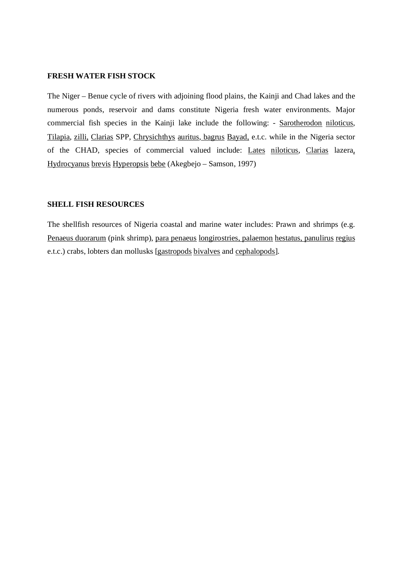#### **FRESH WATER FISH STOCK**

The Niger – Benue cycle of rivers with adjoining flood plains, the Kainji and Chad lakes and the numerous ponds, reservoir and dams constitute Nigeria fresh water environments. Major commercial fish species in the Kainji lake include the following: - Sarotherodon niloticus, Tilapia, zilli, Clarias SPP, Chrysichthys auritus, bagrus Bayad, e.t.c. while in the Nigeria sector of the CHAD, species of commercial valued include: Lates niloticus, Clarias lazera, Hydrocyanus brevis Hyperopsis bebe (Akegbejo – Samson, 1997)

## **SHELL FISH RESOURCES**

The shellfish resources of Nigeria coastal and marine water includes: Prawn and shrimps (e.g. Penaeus duorarum (pink shrimp), para penaeus longirostries, palaemon hestatus, panulirus regius e.t.c.) crabs, lobters dan mollusks [gastropods bivalves and cephalopods].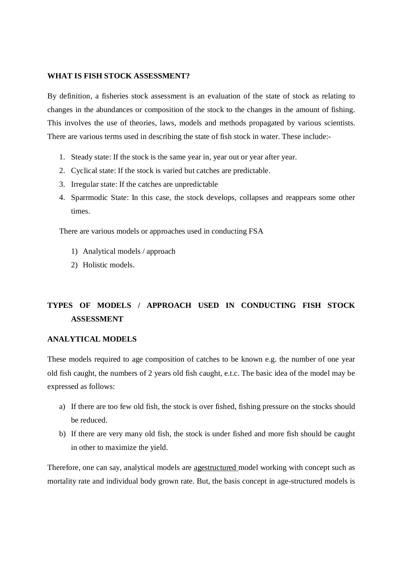## **WHAT IS FISH STOCK ASSESSMENT?**

By definition, a fisheries stock assessment is an evaluation of the state of stock as relating to changes in the abundances or composition of the stock to the changes in the amount of fishing. This involves the use of theories, laws, models and methods propagated by various scientists. There are various terms used in describing the state of fish stock in water. These include:-

- 1. Steady state: If the stock is the same year in, year out or year after year.
- 2. Cyclical state: If the stock is varied but catches are predictable.
- 3. Irregular state: If the catches are unpredictable
- 4. Sparrmodic State: In this case, the stock develops, collapses and reappears some other times.

There are various models or approaches used in conducting FSA

- 1) Analytical models / approach
- 2) Holistic models.

## **TYPES OF MODELS / APPROACH USED IN CONDUCTING FISH STOCK ASSESSMENT**

## **ANALYTICAL MODELS**

These models required to age composition of catches to be known e.g. the number of one year old fish caught, the numbers of 2 years old fish caught, e.t.c. The basic idea of the model may be expressed as follows:

- a) If there are too few old fish, the stock is over fished, fishing pressure on the stocks should be reduced.
- b) If there are very many old fish, the stock is under fished and more fish should be caught in other to maximize the yield.

Therefore, one can say, analytical models are agestructured model working with concept such as mortality rate and individual body grown rate. But, the basis concept in age-structured models is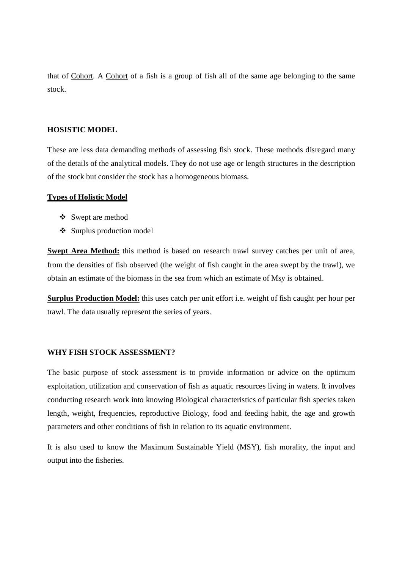that of Cohort. A Cohort of a fish is a group of fish all of the same age belonging to the same stock.

## **HOSISTIC MODEL**

These are less data demanding methods of assessing fish stock. These methods disregard many of the details of the analytical models. The**y** do not use age or length structures in the description of the stock but consider the stock has a homogeneous biomass.

## **Types of Holistic Model**

- Swept are method
- Surplus production model

**Swept Area Method:** this method is based on research trawl survey catches per unit of area, from the densities of fish observed (the weight of fish caught in the area swept by the trawl), we obtain an estimate of the biomass in the sea from which an estimate of Msy is obtained.

**Surplus Production Model:** this uses catch per unit effort i.e. weight of fish caught per hour per trawl. The data usually represent the series of years.

## **WHY FISH STOCK ASSESSMENT?**

The basic purpose of stock assessment is to provide information or advice on the optimum exploitation, utilization and conservation of fish as aquatic resources living in waters. It involves conducting research work into knowing Biological characteristics of particular fish species taken length, weight, frequencies, reproductive Biology, food and feeding habit, the age and growth parameters and other conditions of fish in relation to its aquatic environment.

It is also used to know the Maximum Sustainable Yield (MSY), fish morality, the input and output into the fisheries.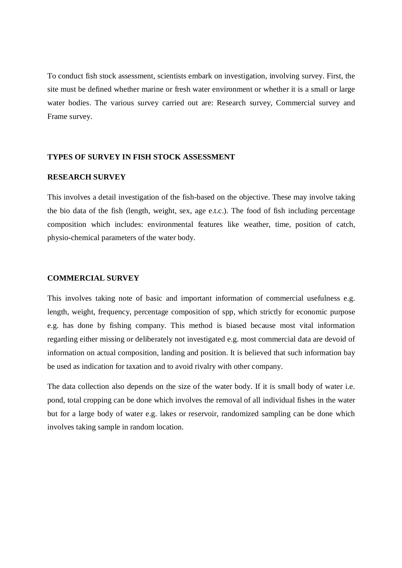To conduct fish stock assessment, scientists embark on investigation, involving survey. First, the site must be defined whether marine or fresh water environment or whether it is a small or large water bodies. The various survey carried out are: Research survey, Commercial survey and Frame survey.

## **TYPES OF SURVEY IN FISH STOCK ASSESSMENT**

## **RESEARCH SURVEY**

This involves a detail investigation of the fish-based on the objective. These may involve taking the bio data of the fish (length, weight, sex, age e.t.c.). The food of fish including percentage composition which includes: environmental features like weather, time, position of catch, physio-chemical parameters of the water body.

## **COMMERCIAL SURVEY**

This involves taking note of basic and important information of commercial usefulness e.g. length, weight, frequency, percentage composition of spp, which strictly for economic purpose e.g. has done by fishing company. This method is biased because most vital information regarding either missing or deliberately not investigated e.g. most commercial data are devoid of information on actual composition, landing and position. It is believed that such information bay be used as indication for taxation and to avoid rivalry with other company.

The data collection also depends on the size of the water body. If it is small body of water i.e. pond, total cropping can be done which involves the removal of all individual fishes in the water but for a large body of water e.g. lakes or reservoir, randomized sampling can be done which involves taking sample in random location.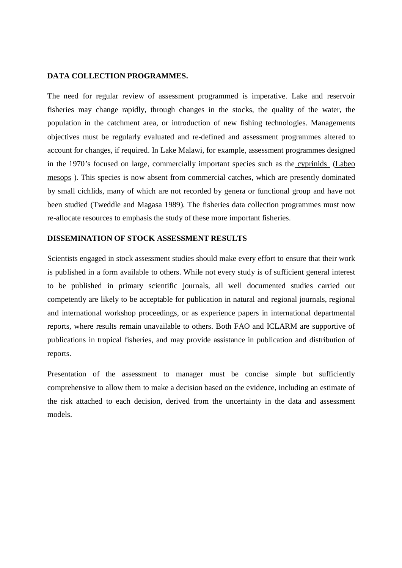## **DATA COLLECTION PROGRAMMES.**

The need for regular review of assessment programmed is imperative. Lake and reservoir fisheries may change rapidly, through changes in the stocks, the quality of the water, the population in the catchment area, or introduction of new fishing technologies. Managements objectives must be regularly evaluated and re-defined and assessment programmes altered to account for changes, if required. In Lake Malawi, for example, assessment programmes designed in the 1970's focused on large, commercially important species such as the cyprinids (Labeo mesops ). This species is now absent from commercial catches, which are presently dominated by small cichlids, many of which are not recorded by genera or functional group and have not been studied (Tweddle and Magasa 1989). The fisheries data collection programmes must now re-allocate resources to emphasis the study of these more important fisheries.

## **DISSEMINATION OF STOCK ASSESSMENT RESULTS**

Scientists engaged in stock assessment studies should make every effort to ensure that their work is published in a form available to others. While not every study is of sufficient general interest to be published in primary scientific journals, all well documented studies carried out competently are likely to be acceptable for publication in natural and regional journals, regional and international workshop proceedings, or as experience papers in international departmental reports, where results remain unavailable to others. Both FAO and ICLARM are supportive of publications in tropical fisheries, and may provide assistance in publication and distribution of reports.

Presentation of the assessment to manager must be concise simple but sufficiently comprehensive to allow them to make a decision based on the evidence, including an estimate of the risk attached to each decision, derived from the uncertainty in the data and assessment models.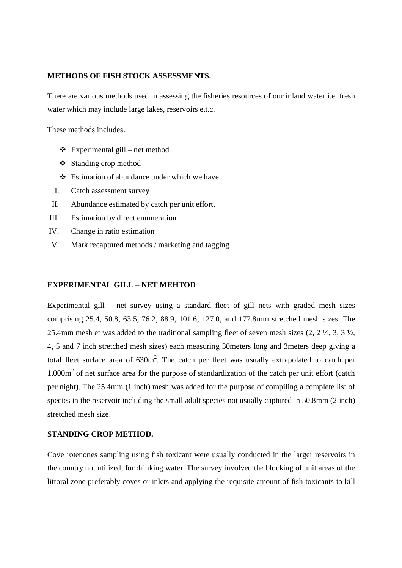## **METHODS OF FISH STOCK ASSESSMENTS.**

There are various methods used in assessing the fisheries resources of our inland water i.e. fresh water which may include large lakes, reservoirs e.t.c.

These methods includes.

- $\triangleleft$  Experimental gill net method
- Standing crop method
- Estimation of abundance under which we have
- I. Catch assessment survey
- II. Abundance estimated by catch per unit effort.
- III. Estimation by direct enumeration
- IV. Change in ratio estimation
- V. Mark recaptured methods / marketing and tagging

## **EXPERIMENTAL GILL – NET MEHTOD**

Experimental gill – net survey using a standard fleet of gill nets with graded mesh sizes comprising 25.4, 50.8, 63.5, 76.2, 88.9, 101.6, 127.0, and 177.8mm stretched mesh sizes. The 25.4mm mesh et was added to the traditional sampling fleet of seven mesh sizes (2, 2 ½, 3, 3 ½, 4, 5 and 7 inch stretched mesh sizes) each measuring 30meters long and 3meters deep giving a total fleet surface area of  $630m^2$ . The catch per fleet was usually extrapolated to catch per 1,000m<sup>2</sup> of net surface area for the purpose of standardization of the catch per unit effort (catch per night). The 25.4mm (1 inch) mesh was added for the purpose of compiling a complete list of species in the reservoir including the small adult species not usually captured in 50.8mm (2 inch) stretched mesh size.

## **STANDING CROP METHOD.**

Cove rotenones sampling using fish toxicant were usually conducted in the larger reservoirs in the country not utilized, for drinking water. The survey involved the blocking of unit areas of the littoral zone preferably coves or inlets and applying the requisite amount of fish toxicants to kill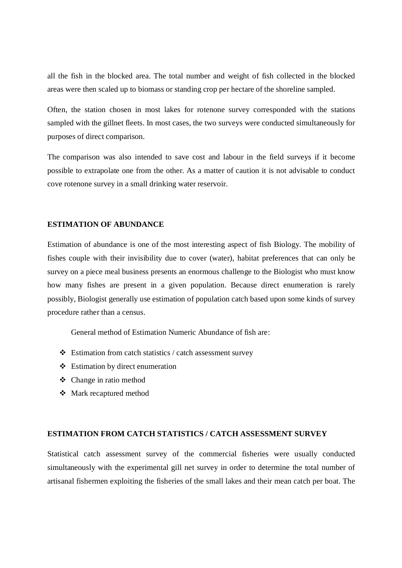all the fish in the blocked area. The total number and weight of fish collected in the blocked areas were then scaled up to biomass or standing crop per hectare of the shoreline sampled.

Often, the station chosen in most lakes for rotenone survey corresponded with the stations sampled with the gillnet fleets. In most cases, the two surveys were conducted simultaneously for purposes of direct comparison.

The comparison was also intended to save cost and labour in the field surveys if it become possible to extrapolate one from the other. As a matter of caution it is not advisable to conduct cove rotenone survey in a small drinking water reservoir.

## **ESTIMATION OF ABUNDANCE**

Estimation of abundance is one of the most interesting aspect of fish Biology. The mobility of fishes couple with their invisibility due to cover (water), habitat preferences that can only be survey on a piece meal business presents an enormous challenge to the Biologist who must know how many fishes are present in a given population. Because direct enumeration is rarely possibly, Biologist generally use estimation of population catch based upon some kinds of survey procedure rather than a census.

General method of Estimation Numeric Abundance of fish are:

- Estimation from catch statistics / catch assessment survey
- $\div$  Estimation by direct enumeration
- Change in ratio method
- Mark recaptured method

## **ESTIMATION FROM CATCH STATISTICS / CATCH ASSESSMENT SURVEY**

Statistical catch assessment survey of the commercial fisheries were usually conducted simultaneously with the experimental gill net survey in order to determine the total number of artisanal fishermen exploiting the fisheries of the small lakes and their mean catch per boat. The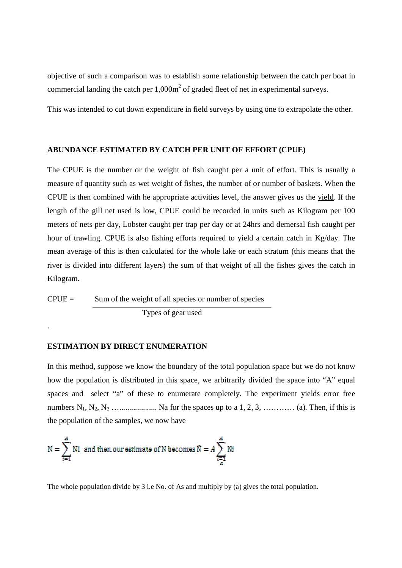objective of such a comparison was to establish some relationship between the catch per boat in commercial landing the catch per  $1,000m^2$  of graded fleet of net in experimental surveys.

This was intended to cut down expenditure in field surveys by using one to extrapolate the other.

#### **ABUNDANCE ESTIMATED BY CATCH PER UNIT OF EFFORT (CPUE)**

The CPUE is the number or the weight of fish caught per a unit of effort. This is usually a measure of quantity such as wet weight of fishes, the number of or number of baskets. When the CPUE is then combined with he appropriate activities level, the answer gives us the yield. If the length of the gill net used is low, CPUE could be recorded in units such as Kilogram per 100 meters of nets per day, Lobster caught per trap per day or at 24hrs and demersal fish caught per hour of trawling. CPUE is also fishing efforts required to yield a certain catch in Kg/day. The mean average of this is then calculated for the whole lake or each stratum (this means that the river is divided into different layers) the sum of that weight of all the fishes gives the catch in Kilogram.

 $CPUE =$  Sum of the weight of all species or number of species Types of gear used

## **ESTIMATION BY DIRECT ENUMERATION**

.

In this method, suppose we know the boundary of the total population space but we do not know how the population is distributed in this space, we arbitrarily divided the space into "A" equal spaces and select "a" of these to enumerate completely. The experiment yields error free numbers N1, N2, N<sup>3</sup> …................... Na for the spaces up to a 1, 2, 3, ………… (a). Then, if this is the population of the samples, we now have

$$
N = \sum_{i=1}^{A} Ni
$$
 and then our estimate of N becomes  $\tilde{N} = A \sum_{i=1}^{A} Ni$ 

The whole population divide by 3 i.e No. of As and multiply by (a) gives the total population.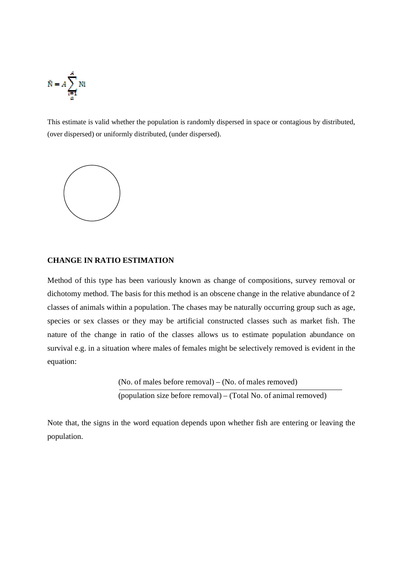$$
\tilde{N} = A \sum_{\substack{i=1 \\ a}}^{A} Ni
$$

This estimate is valid whether the population is randomly dispersed in space or contagious by distributed, (over dispersed) or uniformly distributed, (under dispersed).



## **CHANGE IN RATIO ESTIMATION**

Method of this type has been variously known as change of compositions, survey removal or dichotomy method. The basis for this method is an obscene change in the relative abundance of 2 classes of animals within a population. The chases may be naturally occurring group such as age, species or sex classes or they may be artificial constructed classes such as market fish. The nature of the change in ratio of the classes allows us to estimate population abundance on survival e.g. in a situation where males of females might be selectively removed is evident in the equation:

> (No. of males before removal) – (No. of males removed) (population size before removal) – (Total No. of animal removed)

Note that, the signs in the word equation depends upon whether fish are entering or leaving the population.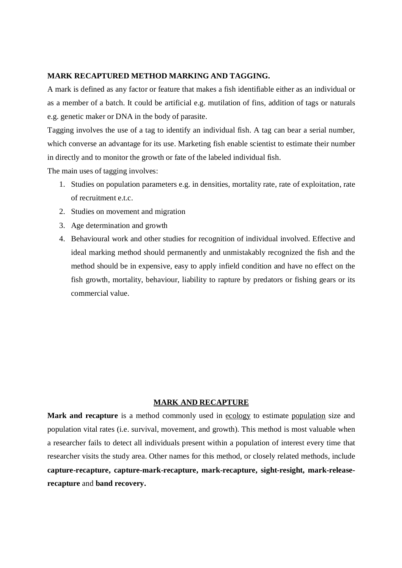### **MARK RECAPTURED METHOD MARKING AND TAGGING.**

A mark is defined as any factor or feature that makes a fish identifiable either as an individual or as a member of a batch. It could be artificial e.g. mutilation of fins, addition of tags or naturals e.g. genetic maker or DNA in the body of parasite.

Tagging involves the use of a tag to identify an individual fish. A tag can bear a serial number, which converse an advantage for its use. Marketing fish enable scientist to estimate their number in directly and to monitor the growth or fate of the labeled individual fish.

The main uses of tagging involves:

- 1. Studies on population parameters e.g. in densities, mortality rate, rate of exploitation, rate of recruitment e.t.c.
- 2. Studies on movement and migration
- 3. Age determination and growth
- 4. Behavioural work and other studies for recognition of individual involved. Effective and ideal marking method should permanently and unmistakably recognized the fish and the method should be in expensive, easy to apply infield condition and have no effect on the fish growth, mortality, behaviour, liability to rapture by predators or fishing gears or its commercial value.

## **MARK AND RECAPTURE**

Mark and recapture is a method commonly used in ecology to estimate population size and population vital rates (i.e. survival, movement, and growth). This method is most valuable when a researcher fails to detect all individuals present within a population of interest every time that researcher visits the study area. Other names for this method, or closely related methods, include **capture-recapture, capture-mark-recapture, mark-recapture, sight-resight, mark-releaserecapture** and **band recovery.**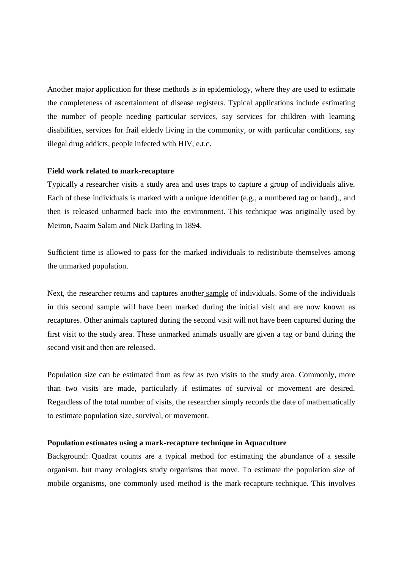Another major application for these methods is in epidemiology, where they are used to estimate the completeness of ascertainment of disease registers. Typical applications include estimating the number of people needing particular services, say services for children with learning disabilities, services for frail elderly living in the community, or with particular conditions, say illegal drug addicts, people infected with HIV, e.t.c.

#### **Field work related to mark-recapture**

Typically a researcher visits a study area and uses traps to capture a group of individuals alive. Each of these individuals is marked with a unique identifier (e.g., a numbered tag or band)., and then is released unharmed back into the environment. This technique was originally used by Meiron, Naaim Salam and Nick Darling in 1894.

Sufficient time is allowed to pass for the marked individuals to redistribute themselves among the unmarked population.

Next, the researcher returns and captures another sample of individuals. Some of the individuals in this second sample will have been marked during the initial visit and are now known as recaptures. Other animals captured during the second visit will not have been captured during the first visit to the study area. These unmarked animals usually are given a tag or band during the second visit and then are released.

Population size can be estimated from as few as two visits to the study area. Commonly, more than two visits are made, particularly if estimates of survival or movement are desired. Regardless of the total number of visits, the researcher simply records the date of mathematically to estimate population size, survival, or movement.

#### **Population estimates using a mark-recapture technique in Aquaculture**

Background: Quadrat counts are a typical method for estimating the abundance of a sessile organism, but many ecologists study organisms that move. To estimate the population size of mobile organisms, one commonly used method is the mark-recapture technique. This involves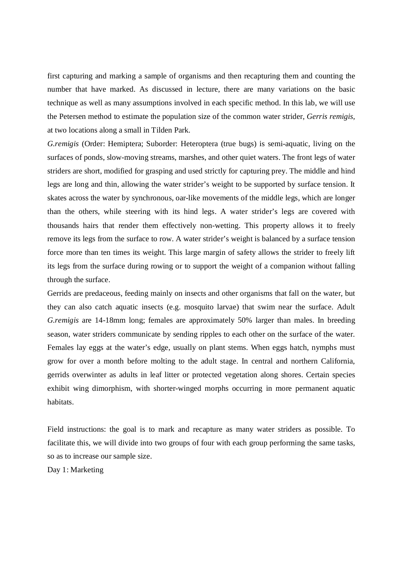first capturing and marking a sample of organisms and then recapturing them and counting the number that have marked. As discussed in lecture, there are many variations on the basic technique as well as many assumptions involved in each specific method. In this lab, we will use the Petersen method to estimate the population size of the common water strider, *Gerris remigis,* at two locations along a small in Tilden Park.

*G.remigis* (Order: Hemiptera; Suborder: Heteroptera (true bugs) is semi-aquatic, living on the surfaces of ponds, slow-moving streams, marshes, and other quiet waters. The front legs of water striders are short, modified for grasping and used strictly for capturing prey. The middle and hind legs are long and thin, allowing the water strider's weight to be supported by surface tension. It skates across the water by synchronous, oar-like movements of the middle legs, which are longer than the others, while steering with its hind legs. A water strider's legs are covered with thousands hairs that render them effectively non-wetting. This property allows it to freely remove its legs from the surface to row. A water strider's weight is balanced by a surface tension force more than ten times its weight. This large margin of safety allows the strider to freely lift its legs from the surface during rowing or to support the weight of a companion without falling through the surface.

Gerrids are predaceous, feeding mainly on insects and other organisms that fall on the water, but they can also catch aquatic insects (e.g. mosquito larvae) that swim near the surface. Adult *G.remigis* are 14-18mm long; females are approximately 50% larger than males. In breeding season, water striders communicate by sending ripples to each other on the surface of the water. Females lay eggs at the water's edge, usually on plant stems. When eggs hatch, nymphs must grow for over a month before molting to the adult stage. In central and northern California, gerrids overwinter as adults in leaf litter or protected vegetation along shores. Certain species exhibit wing dimorphism, with shorter-winged morphs occurring in more permanent aquatic habitats.

Field instructions: the goal is to mark and recapture as many water striders as possible. To facilitate this, we will divide into two groups of four with each group performing the same tasks, so as to increase our sample size.

Day 1: Marketing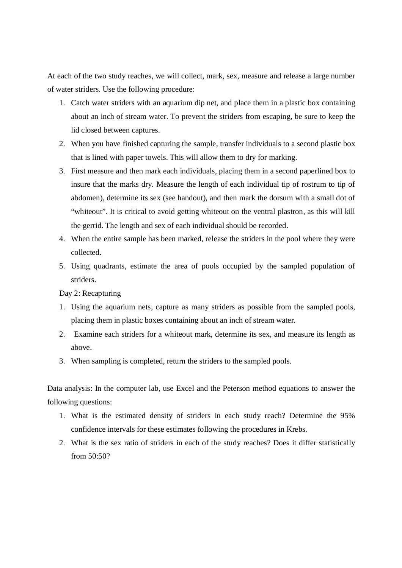At each of the two study reaches, we will collect, mark, sex, measure and release a large number of water striders. Use the following procedure:

- 1. Catch water striders with an aquarium dip net, and place them in a plastic box containing about an inch of stream water. To prevent the striders from escaping, be sure to keep the lid closed between captures.
- 2. When you have finished capturing the sample, transfer individuals to a second plastic box that is lined with paper towels. This will allow them to dry for marking.
- 3. First measure and then mark each individuals, placing them in a second paperlined box to insure that the marks dry. Measure the length of each individual tip of rostrum to tip of abdomen), determine its sex (see handout), and then mark the dorsum with a small dot of "whiteout". It is critical to avoid getting whiteout on the ventral plastron, as this will kill the gerrid. The length and sex of each individual should be recorded.
- 4. When the entire sample has been marked, release the striders in the pool where they were collected.
- 5. Using quadrants, estimate the area of pools occupied by the sampled population of striders.

Day 2: Recapturing

- 1. Using the aquarium nets, capture as many striders as possible from the sampled pools, placing them in plastic boxes containing about an inch of stream water.
- 2. Examine each striders for a whiteout mark, determine its sex, and measure its length as above.
- 3. When sampling is completed, return the striders to the sampled pools.

Data analysis: In the computer lab, use Excel and the Peterson method equations to answer the following questions:

- 1. What is the estimated density of striders in each study reach? Determine the 95% confidence intervals for these estimates following the procedures in Krebs.
- 2. What is the sex ratio of striders in each of the study reaches? Does it differ statistically from 50:50?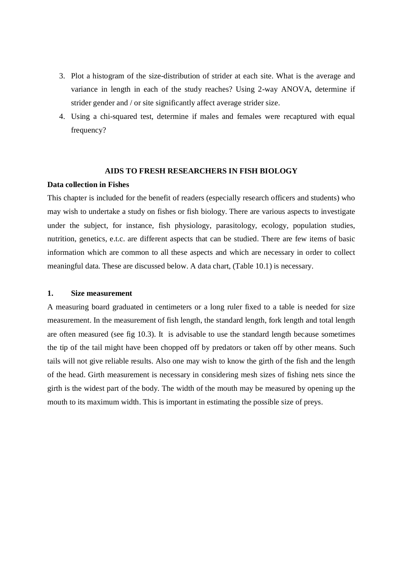- 3. Plot a histogram of the size-distribution of strider at each site. What is the average and variance in length in each of the study reaches? Using 2-way ANOVA, determine if strider gender and / or site significantly affect average strider size.
- 4. Using a chi-squared test, determine if males and females were recaptured with equal frequency?

#### **AIDS TO FRESH RESEARCHERS IN FISH BIOLOGY**

#### **Data collection in Fishes**

This chapter is included for the benefit of readers (especially research officers and students) who may wish to undertake a study on fishes or fish biology. There are various aspects to investigate under the subject, for instance, fish physiology, parasitology, ecology, population studies, nutrition, genetics, e.t.c. are different aspects that can be studied. There are few items of basic information which are common to all these aspects and which are necessary in order to collect meaningful data. These are discussed below. A data chart, (Table 10.1) is necessary.

### **1. Size measurement**

A measuring board graduated in centimeters or a long ruler fixed to a table is needed for size measurement. In the measurement of fish length, the standard length, fork length and total length are often measured (see fig 10.3). It is advisable to use the standard length because sometimes the tip of the tail might have been chopped off by predators or taken off by other means. Such tails will not give reliable results. Also one may wish to know the girth of the fish and the length of the head. Girth measurement is necessary in considering mesh sizes of fishing nets since the girth is the widest part of the body. The width of the mouth may be measured by opening up the mouth to its maximum width. This is important in estimating the possible size of preys.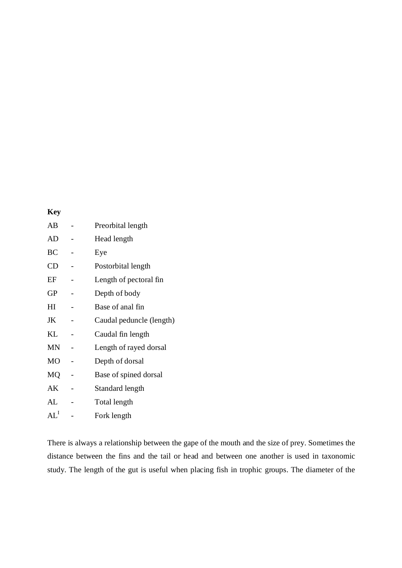## **Key**

| AВ        | Preorbital length        |
|-----------|--------------------------|
| AD        | Head length              |
| BC        | Eye                      |
| CD        | Postorbital length       |
| EF        | Length of pectoral fin   |
| GP        | Depth of body            |
| H         | Base of anal fin         |
| JK        | Caudal peduncle (length) |
| KL        | Caudal fin length        |
| <b>MN</b> | Length of rayed dorsal   |
| MO        | Depth of dorsal          |
| MQ        | Base of spined dorsal    |
| АK        | Standard length          |
| AL        | Total length             |
| $AI^I$    | Fork length              |

There is always a relationship between the gape of the mouth and the size of prey. Sometimes the distance between the fins and the tail or head and between one another is used in taxonomic study. The length of the gut is useful when placing fish in trophic groups. The diameter of the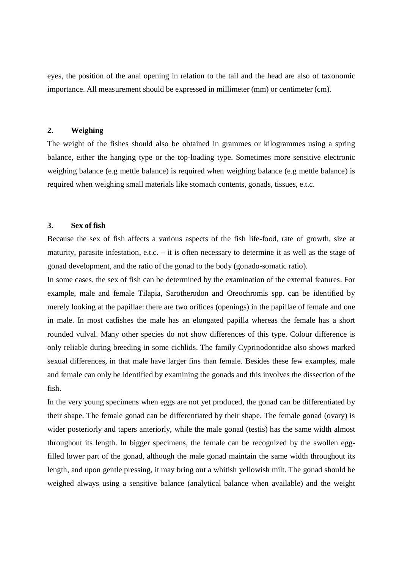eyes, the position of the anal opening in relation to the tail and the head are also of taxonomic importance. All measurement should be expressed in millimeter (mm) or centimeter (cm).

## **2. Weighing**

The weight of the fishes should also be obtained in grammes or kilogrammes using a spring balance, either the hanging type or the top-loading type. Sometimes more sensitive electronic weighing balance (e.g mettle balance) is required when weighing balance (e.g mettle balance) is required when weighing small materials like stomach contents, gonads, tissues, e.t.c.

## **3. Sex of fish**

Because the sex of fish affects a various aspects of the fish life-food, rate of growth, size at maturity, parasite infestation, e.t.c. – it is often necessary to determine it as well as the stage of gonad development, and the ratio of the gonad to the body (gonado-somatic ratio).

In some cases, the sex of fish can be determined by the examination of the external features. For example, male and female Tilapia, Sarotherodon and Oreochromis spp. can be identified by merely looking at the papillae: there are two orifices (openings) in the papillae of female and one in male. In most catfishes the male has an elongated papilla whereas the female has a short rounded vulval. Many other species do not show differences of this type. Colour difference is only reliable during breeding in some cichlids. The family Cyprinodontidae also shows marked sexual differences, in that male have larger fins than female. Besides these few examples, male and female can only be identified by examining the gonads and this involves the dissection of the fish.

In the very young specimens when eggs are not yet produced, the gonad can be differentiated by their shape. The female gonad can be differentiated by their shape. The female gonad (ovary) is wider posteriorly and tapers anteriorly, while the male gonad (testis) has the same width almost throughout its length. In bigger specimens, the female can be recognized by the swollen eggfilled lower part of the gonad, although the male gonad maintain the same width throughout its length, and upon gentle pressing, it may bring out a whitish yellowish milt. The gonad should be weighed always using a sensitive balance (analytical balance when available) and the weight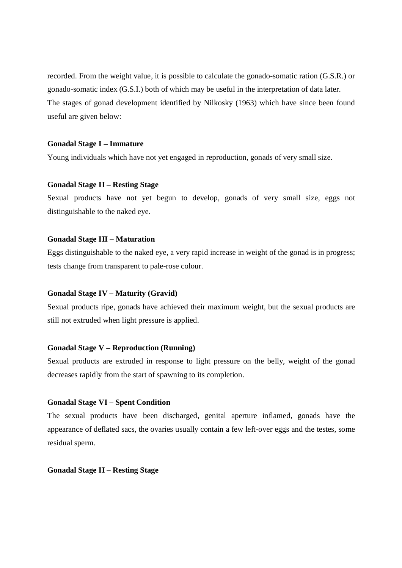recorded. From the weight value, it is possible to calculate the gonado-somatic ration (G.S.R.) or gonado-somatic index (G.S.I.) both of which may be useful in the interpretation of data later. The stages of gonad development identified by Nilkosky (1963) which have since been found useful are given below:

## **Gonadal Stage I – Immature**

Young individuals which have not yet engaged in reproduction, gonads of very small size.

## **Gonadal Stage II – Resting Stage**

Sexual products have not yet begun to develop, gonads of very small size, eggs not distinguishable to the naked eye.

## **Gonadal Stage III – Maturation**

Eggs distinguishable to the naked eye, a very rapid increase in weight of the gonad is in progress; tests change from transparent to pale-rose colour.

## **Gonadal Stage IV – Maturity (Gravid)**

Sexual products ripe, gonads have achieved their maximum weight, but the sexual products are still not extruded when light pressure is applied.

## **Gonadal Stage V – Reproduction (Running)**

Sexual products are extruded in response to light pressure on the belly, weight of the gonad decreases rapidly from the start of spawning to its completion.

## **Gonadal Stage VI – Spent Condition**

The sexual products have been discharged, genital aperture inflamed, gonads have the appearance of deflated sacs, the ovaries usually contain a few left-over eggs and the testes, some residual sperm.

## **Gonadal Stage II – Resting Stage**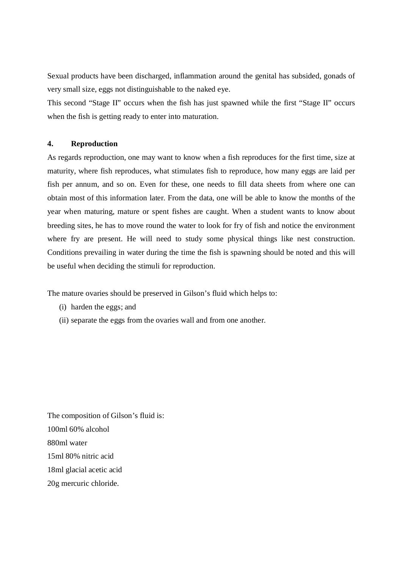Sexual products have been discharged, inflammation around the genital has subsided, gonads of very small size, eggs not distinguishable to the naked eye.

This second "Stage II" occurs when the fish has just spawned while the first "Stage II" occurs when the fish is getting ready to enter into maturation.

## **4. Reproduction**

As regards reproduction, one may want to know when a fish reproduces for the first time, size at maturity, where fish reproduces, what stimulates fish to reproduce, how many eggs are laid per fish per annum, and so on. Even for these, one needs to fill data sheets from where one can obtain most of this information later. From the data, one will be able to know the months of the year when maturing, mature or spent fishes are caught. When a student wants to know about breeding sites, he has to move round the water to look for fry of fish and notice the environment where fry are present. He will need to study some physical things like nest construction. Conditions prevailing in water during the time the fish is spawning should be noted and this will be useful when deciding the stimuli for reproduction.

The mature ovaries should be preserved in Gilson's fluid which helps to:

- (i) harden the eggs; and
- (ii) separate the eggs from the ovaries wall and from one another.

The composition of Gilson's fluid is: 100ml 60% alcohol 880ml water 15ml 80% nitric acid 18ml glacial acetic acid 20g mercuric chloride.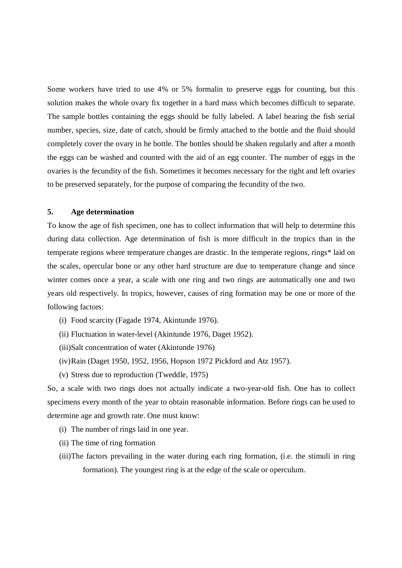Some workers have tried to use 4% or 5% formalin to preserve eggs for counting, but this solution makes the whole ovary fix together in a hard mass which becomes difficult to separate. The sample bottles containing the eggs should be fully labeled. A label bearing the fish serial number, species, size, date of catch, should be firmly attached to the bottle and the fluid should completely cover the ovary in he bottle. The bottles should be shaken regularly and after a month the eggs can be washed and counted with the aid of an egg counter. The number of eggs in the ovaries is the fecundity of the fish. Sometimes it becomes necessary for the right and left ovaries to be preserved separately, for the purpose of comparing the fecundity of the two.

## **5. Age determination**

To know the age of fish specimen, one has to collect information that will help to determine this during data collection. Age determination of fish is more difficult in the tropics than in the temperate regions where temperature changes are drastic. In the temperate regions, rings\* laid on the scales, opercular bone or any other hard structure are due to temperature change and since winter comes once a year, a scale with one ring and two rings are automatically one and two years old respectively. In tropics, however, causes of ring formation may be one or more of the following factors:

- (i) Food scarcity (Fagade 1974, Akintunde 1976).
- (ii) Fluctuation in water-level (Akintunde 1976, Daget 1952).
- (iii)Salt concentration of water (Akintunde 1976)
- (iv)Rain (Daget 1950, 1952, 1956, Hopson 1972 Pickford and Atz 1957).
- (v) Stress due to reproduction (Tweddle, 1975)

So, a scale with two rings does not actually indicate a two-year-old fish. One has to collect specimens every month of the year to obtain reasonable information. Before rings can be used to determine age and growth rate. One must know:

- (i) The number of rings laid in one year.
- (ii) The time of ring formation
- (iii)The factors prevailing in the water during each ring formation, (i.e. the stimuli in ring formation). The youngest ring is at the edge of the scale or operculum.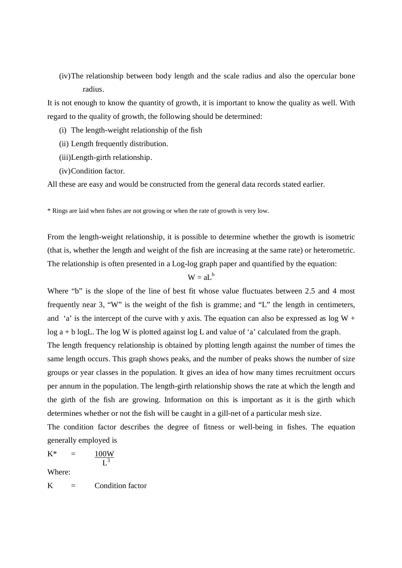(iv)The relationship between body length and the scale radius and also the opercular bone radius.

It is not enough to know the quantity of growth, it is important to know the quality as well. With regard to the quality of growth, the following should be determined:

- (i) The length-weight relationship of the fish
- (ii) Length frequently distribution.
- (iii)Length-girth relationship.
- (iv)Condition factor.

All these are easy and would be constructed from the general data records stated earlier.

\* Rings are laid when fishes are not growing or when the rate of growth is very low.

From the length-weight relationship, it is possible to determine whether the growth is isometric (that is, whether the length and weight of the fish are increasing at the same rate) or heterometric. The relationship is often presented in a Log-log graph paper and quantified by the equation:

## $W = aL^b$

Where "b" is the slope of the line of best fit whose value fluctuates between 2.5 and 4 most frequently near 3, "W" is the weight of the fish is gramme; and "L" the length in centimeters, and 'a' is the intercept of the curve with y axis. The equation can also be expressed as  $\log W$  + log  $a + b \log L$ . The log W is plotted against log L and value of 'a' calculated from the graph.

The length frequency relationship is obtained by plotting length against the number of times the same length occurs. This graph shows peaks, and the number of peaks shows the number of size groups or year classes in the population. It gives an idea of how many times recruitment occurs per annum in the population. The length-girth relationship shows the rate at which the length and the girth of the fish are growing. Information on this is important as it is the girth which determines whether or not the fish will be caught in a gill-net of a particular mesh size.

The condition factor describes the degree of fitness or well-being in fishes. The equation generally employed is

$$
K^* = \frac{100W}{L^3}
$$

Where:

 $K =$  Condition factor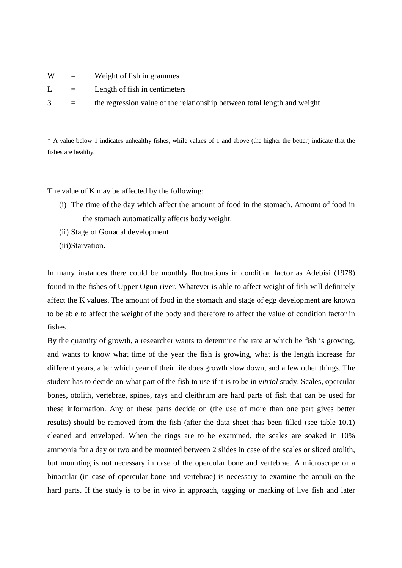| W | $\equiv$                  | Weight of fish in grammes                                                |
|---|---------------------------|--------------------------------------------------------------------------|
| L | $\mathbf{r} = \mathbf{r}$ | Length of fish in centimeters                                            |
| 3 | $\equiv$                  | the regression value of the relationship between total length and weight |

\* A value below 1 indicates unhealthy fishes, while values of 1 and above (the higher the better) indicate that the fishes are healthy.

The value of K may be affected by the following:

- (i) The time of the day which affect the amount of food in the stomach. Amount of food in the stomach automatically affects body weight.
- (ii) Stage of Gonadal development.
- (iii)Starvation.

In many instances there could be monthly fluctuations in condition factor as Adebisi (1978) found in the fishes of Upper Ogun river. Whatever is able to affect weight of fish will definitely affect the K values. The amount of food in the stomach and stage of egg development are known to be able to affect the weight of the body and therefore to affect the value of condition factor in fishes.

By the quantity of growth, a researcher wants to determine the rate at which he fish is growing, and wants to know what time of the year the fish is growing, what is the length increase for different years, after which year of their life does growth slow down, and a few other things. The student has to decide on what part of the fish to use if it is to be in *vitriol* study. Scales, opercular bones, otolith, vertebrae, spines, rays and cleithrum are hard parts of fish that can be used for these information. Any of these parts decide on (the use of more than one part gives better results) should be removed from the fish (after the data sheet ;has been filled (see table 10.1) cleaned and enveloped. When the rings are to be examined, the scales are soaked in 10% ammonia for a day or two and be mounted between 2 slides in case of the scales or sliced otolith, but mounting is not necessary in case of the opercular bone and vertebrae. A microscope or a binocular (in case of opercular bone and vertebrae) is necessary to examine the annuli on the hard parts. If the study is to be in *vivo* in approach, tagging or marking of live fish and later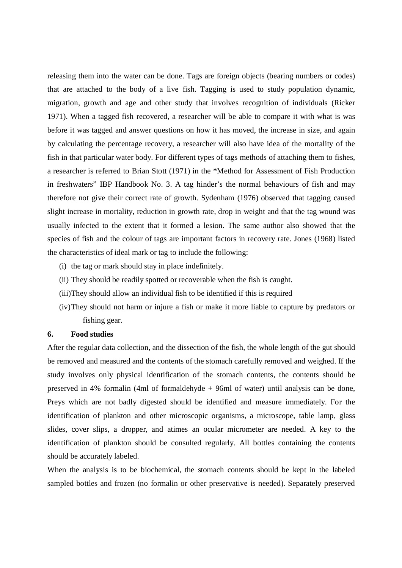releasing them into the water can be done. Tags are foreign objects (bearing numbers or codes) that are attached to the body of a live fish. Tagging is used to study population dynamic, migration, growth and age and other study that involves recognition of individuals (Ricker 1971). When a tagged fish recovered, a researcher will be able to compare it with what is was before it was tagged and answer questions on how it has moved, the increase in size, and again by calculating the percentage recovery, a researcher will also have idea of the mortality of the fish in that particular water body. For different types of tags methods of attaching them to fishes, a researcher is referred to Brian Stott (1971) in the \*Method for Assessment of Fish Production in freshwaters" IBP Handbook No. 3. A tag hinder's the normal behaviours of fish and may therefore not give their correct rate of growth. Sydenham (1976) observed that tagging caused slight increase in mortality, reduction in growth rate, drop in weight and that the tag wound was usually infected to the extent that it formed a lesion. The same author also showed that the species of fish and the colour of tags are important factors in recovery rate. Jones (1968) listed the characteristics of ideal mark or tag to include the following:

- (i) the tag or mark should stay in place indefinitely.
- (ii) They should be readily spotted or recoverable when the fish is caught.
- (iii)They should allow an individual fish to be identified if this is required
- (iv)They should not harm or injure a fish or make it more liable to capture by predators or fishing gear.

## **6. Food studies**

After the regular data collection, and the dissection of the fish, the whole length of the gut should be removed and measured and the contents of the stomach carefully removed and weighed. If the study involves only physical identification of the stomach contents, the contents should be preserved in 4% formalin (4ml of formaldehyde + 96ml of water) until analysis can be done, Preys which are not badly digested should be identified and measure immediately. For the identification of plankton and other microscopic organisms, a microscope, table lamp, glass slides, cover slips, a dropper, and atimes an ocular micrometer are needed. A key to the identification of plankton should be consulted regularly. All bottles containing the contents should be accurately labeled.

When the analysis is to be biochemical, the stomach contents should be kept in the labeled sampled bottles and frozen (no formalin or other preservative is needed). Separately preserved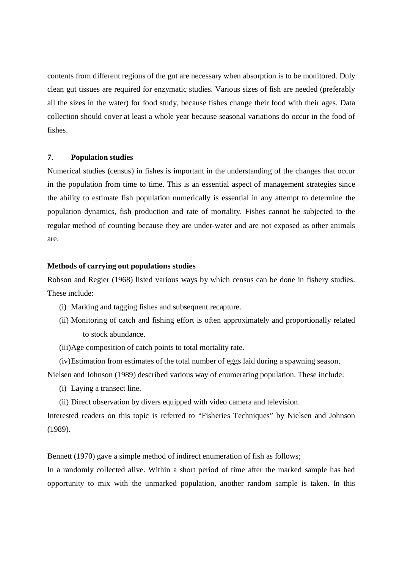contents from different regions of the gut are necessary when absorption is to be monitored. Duly clean gut tissues are required for enzymatic studies. Various sizes of fish are needed (preferably all the sizes in the water) for food study, because fishes change their food with their ages. Data collection should cover at least a whole year because seasonal variations do occur in the food of fishes.

#### **7. Population studies**

Numerical studies (census) in fishes is important in the understanding of the changes that occur in the population from time to time. This is an essential aspect of management strategies since the ability to estimate fish population numerically is essential in any attempt to determine the population dynamics, fish production and rate of mortality. Fishes cannot be subjected to the regular method of counting because they are under-water and are not exposed as other animals are.

## **Methods of carrying out populations studies**

Robson and Regier (1968) listed various ways by which census can be done in fishery studies. These include:

- (i) Marking and tagging fishes and subsequent recapture.
- (ii) Monitoring of catch and fishing effort is often approximately and proportionally related to stock abundance.
- (iii)Age composition of catch points to total mortality rate.

(iv)Estimation from estimates of the total number of eggs laid during a spawning season. Nielsen and Johnson (1989) described various way of enumerating population. These include:

- (i) Laying a transect line.
- (ii) Direct observation by divers equipped with video camera and television.

Interested readers on this topic is referred to "Fisheries Techniques" by Nielsen and Johnson (1989).

Bennett (1970) gave a simple method of indirect enumeration of fish as follows;

In a randomly collected alive. Within a short period of time after the marked sample has had opportunity to mix with the unmarked population, another random sample is taken. In this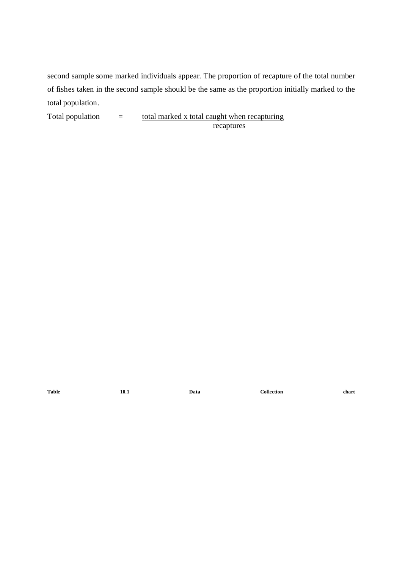second sample some marked individuals appear. The proportion of recapture of the total number of fishes taken in the second sample should be the same as the proportion initially marked to the total population.

Total population  $=$  total marked x total caught when recapturing recaptures

**Table 10.1 Data Collection chart**